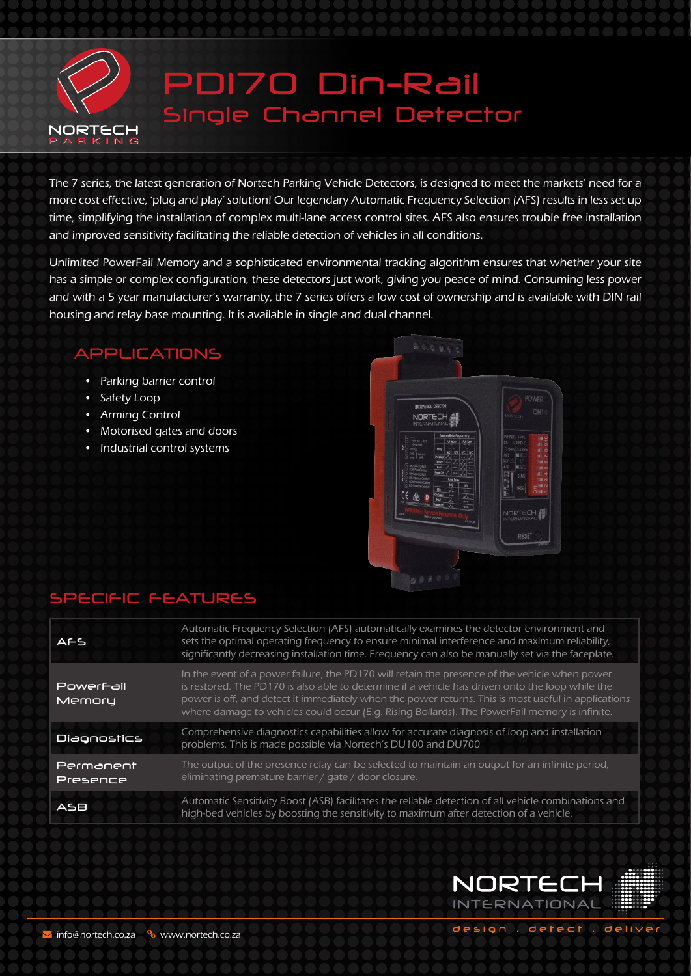

# PD170 Din-Rail Single Channel Detector

The 7 series, the latest generation of Nortech Parking Vehicle Detectors, is designed to meet the markets' need for a more cost effective, 'plug and play' solution! Our legendary Automatic Frequency Selection (AFS) results in less set up time, simplifying the installation of complex multi-lane access control sites. AFS also ensures trouble free installation and improved sensitivity facilitating the reliable detection of vehicles in all conditions.

Unlimited PowerFail Memory and a sophisticated environmental tracking algorithm ensures that whether your site has a simple or complex configuration, these detectors just work, giving you peace of mind. Consuming less power and with a 5 year manufacturer's warranty, the 7 series offers a low cost of ownership and is available with DIN rail housing and relay base mounting. It is available in single and dual channel.

#### APPLICATIONS

- Parking barrier control
- Safety Loop
- Arming Control
- Motorised gates and doors
- Industrial control systems



### SPECIFIC FEATURES

| <b>AFS</b>            | Automatic Frequency Selection (AFS) automatically examines the detector environment and<br>sets the optimal operating frequency to ensure minimal interference and maximum reliability,<br>significantly decreasing installation time. Frequency can also be manually set via the faceplate.                                                                                                               |  |
|-----------------------|------------------------------------------------------------------------------------------------------------------------------------------------------------------------------------------------------------------------------------------------------------------------------------------------------------------------------------------------------------------------------------------------------------|--|
| Powerfail<br>Memoru   | In the event of a power failure, the PD170 will retain the presence of the vehicle when power<br>is restored. The PD170 is also able to determine if a vehicle has driven onto the loop while the<br>power is off, and detect it immediately when the power returns. This is most useful in applications<br>where damage to vehicles could occur (E.g. Rising Bollards). The PowerFail memory is infinite. |  |
| <b>Diagnostics</b>    | Comprehensive diagnostics capabilities allow for accurate diagnosis of loop and installation<br>problems. This is made possible via Nortech's DU100 and DU700                                                                                                                                                                                                                                              |  |
| Permanent<br>Presence | The output of the presence relay can be selected to maintain an output for an infinite period,<br>eliminating premature barrier / gate / door closure.                                                                                                                                                                                                                                                     |  |
| ASB                   | Automatic Sensitivity Boost (ASB) facilitates the reliable detection of all vehicle combinations and<br>high-bed vehicles by boosting the sensitivity to maximum after detection of a vehicle.                                                                                                                                                                                                             |  |